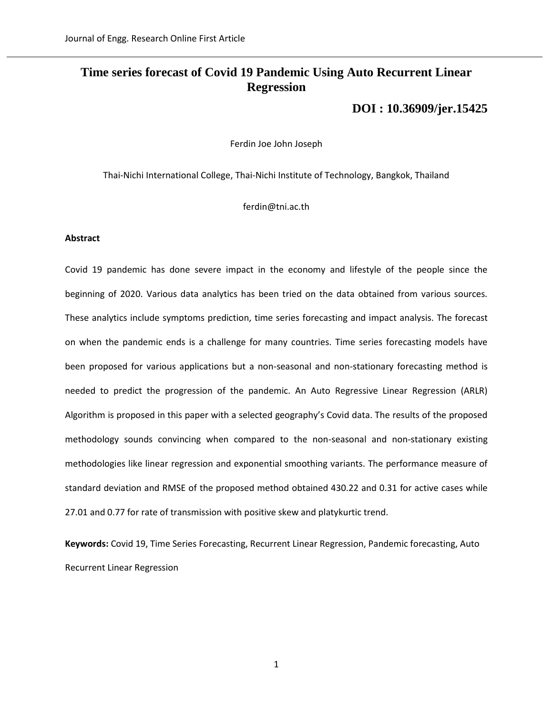# **Time series forecast of Covid 19 Pandemic Using Auto Recurrent Linear Regression**

**[DOI : 10.36909/jer.15425](https://doi.org/10.36909/jer.15425)**

Ferdin Joe John Joseph

Thai-Nichi International College, Thai-Nichi Institute of Technology, Bangkok, Thailand

ferdin@tni.ac.th

# **Abstract**

Covid 19 pandemic has done severe impact in the economy and lifestyle of the people since the beginning of 2020. Various data analytics has been tried on the data obtained from various sources. These analytics include symptoms prediction, time series forecasting and impact analysis. The forecast on when the pandemic ends is a challenge for many countries. Time series forecasting models have been proposed for various applications but a non-seasonal and non-stationary forecasting method is needed to predict the progression of the pandemic. An Auto Regressive Linear Regression (ARLR) Algorithm is proposed in this paper with a selected geography's Covid data. The results of the proposed methodology sounds convincing when compared to the non-seasonal and non-stationary existing methodologies like linear regression and exponential smoothing variants. The performance measure of standard deviation and RMSE of the proposed method obtained 430.22 and 0.31 for active cases while 27.01 and 0.77 for rate of transmission with positive skew and platykurtic trend.

**Keywords:** Covid 19, Time Series Forecasting, Recurrent Linear Regression, Pandemic forecasting, Auto Recurrent Linear Regression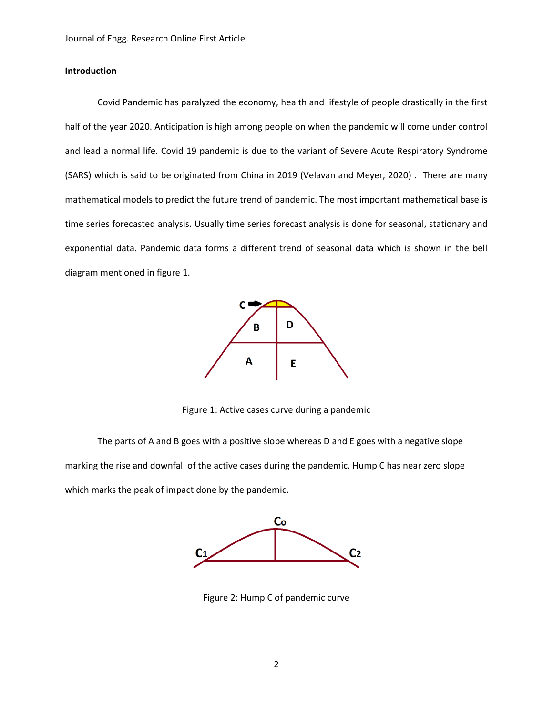# **Introduction**

Covid Pandemic has paralyzed the economy, health and lifestyle of people drastically in the first half of the year 2020. Anticipation is high among people on when the pandemic will come under control and lead a normal life. Covid 19 pandemic is due to the variant of Severe Acute Respiratory Syndrome (SARS) which is said to be originated from China in 2019 (Velavan and Meyer, 2020) . There are many mathematical models to predict the future trend of pandemic. The most important mathematical base is time series forecasted analysis. Usually time series forecast analysis is done for seasonal, stationary and exponential data. Pandemic data forms a different trend of seasonal data which is shown in the bell diagram mentioned in figure 1.



Figure 1: Active cases curve during a pandemic

The parts of A and B goes with a positive slope whereas D and E goes with a negative slope marking the rise and downfall of the active cases during the pandemic. Hump C has near zero slope which marks the peak of impact done by the pandemic.



Figure 2: Hump C of pandemic curve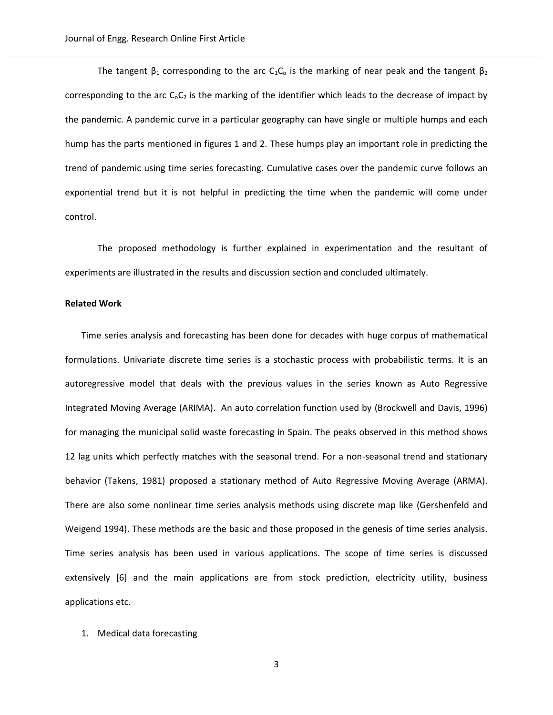The tangent  $\beta_1$  corresponding to the arc C<sub>1</sub>C<sub>o</sub> is the marking of near peak and the tangent  $\beta_2$ corresponding to the arc  $C_0C_2$  is the marking of the identifier which leads to the decrease of impact by the pandemic. A pandemic curve in a particular geography can have single or multiple humps and each hump has the parts mentioned in figures 1 and 2. These humps play an important role in predicting the trend of pandemic using time series forecasting. Cumulative cases over the pandemic curve follows an exponential trend but it is not helpful in predicting the time when the pandemic will come under control.

The proposed methodology is further explained in experimentation and the resultant of experiments are illustrated in the results and discussion section and concluded ultimately.

# **Related Work**

Time series analysis and forecasting has been done for decades with huge corpus of mathematical formulations. Univariate discrete time series is a stochastic process with probabilistic terms. It is an autoregressive model that deals with the previous values in the series known as Auto Regressive Integrated Moving Average (ARIMA). An auto correlation function used by (Brockwell and Davis, 1996) for managing the municipal solid waste forecasting in Spain. The peaks observed in this method shows 12 lag units which perfectly matches with the seasonal trend. For a non-seasonal trend and stationary behavior (Takens, 1981) proposed a stationary method of Auto Regressive Moving Average (ARMA). There are also some nonlinear time series analysis methods using discrete map like (Gershenfeld and Weigend 1994). These methods are the basic and those proposed in the genesis of time series analysis. Time series analysis has been used in various applications. The scope of time series is discussed extensively [6] and the main applications are from stock prediction, electricity utility, business applications etc.

# 1. Medical data forecasting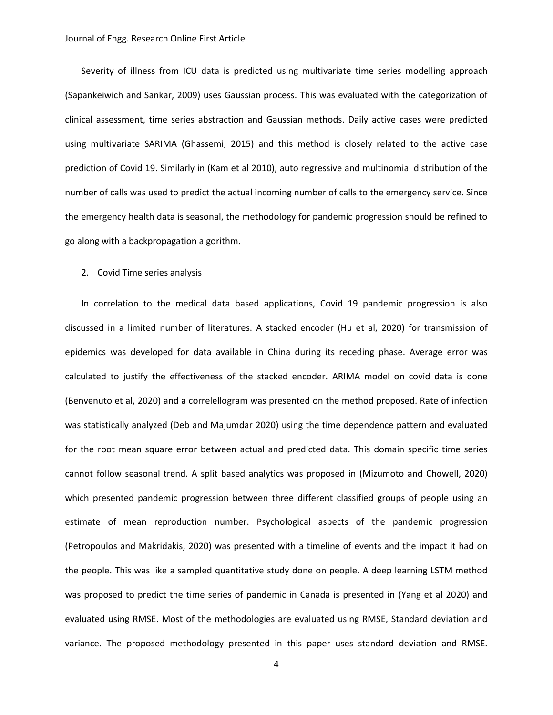Severity of illness from ICU data is predicted using multivariate time series modelling approach (Sapankeiwich and Sankar, 2009) uses Gaussian process. This was evaluated with the categorization of clinical assessment, time series abstraction and Gaussian methods. Daily active cases were predicted using multivariate SARIMA (Ghassemi, 2015) and this method is closely related to the active case prediction of Covid 19. Similarly in (Kam et al 2010), auto regressive and multinomial distribution of the number of calls was used to predict the actual incoming number of calls to the emergency service. Since the emergency health data is seasonal, the methodology for pandemic progression should be refined to go along with a backpropagation algorithm.

# 2. Covid Time series analysis

In correlation to the medical data based applications, Covid 19 pandemic progression is also discussed in a limited number of literatures. A stacked encoder (Hu et al, 2020) for transmission of epidemics was developed for data available in China during its receding phase. Average error was calculated to justify the effectiveness of the stacked encoder. ARIMA model on covid data is done (Benvenuto et al, 2020) and a correlellogram was presented on the method proposed. Rate of infection was statistically analyzed (Deb and Majumdar 2020) using the time dependence pattern and evaluated for the root mean square error between actual and predicted data. This domain specific time series cannot follow seasonal trend. A split based analytics was proposed in (Mizumoto and Chowell, 2020) which presented pandemic progression between three different classified groups of people using an estimate of mean reproduction number. Psychological aspects of the pandemic progression (Petropoulos and Makridakis, 2020) was presented with a timeline of events and the impact it had on the people. This was like a sampled quantitative study done on people. A deep learning LSTM method was proposed to predict the time series of pandemic in Canada is presented in (Yang et al 2020) and evaluated using RMSE. Most of the methodologies are evaluated using RMSE, Standard deviation and variance. The proposed methodology presented in this paper uses standard deviation and RMSE.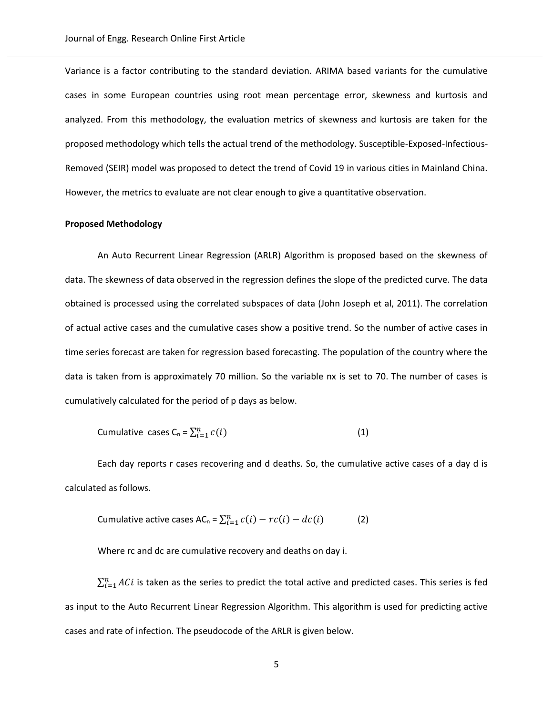Variance is a factor contributing to the standard deviation. ARIMA based variants for the cumulative cases in some European countries using root mean percentage error, skewness and kurtosis and analyzed. From this methodology, the evaluation metrics of skewness and kurtosis are taken for the proposed methodology which tells the actual trend of the methodology. Susceptible-Exposed-Infectious-Removed (SEIR) model was proposed to detect the trend of Covid 19 in various cities in Mainland China. However, the metrics to evaluate are not clear enough to give a quantitative observation.

### **Proposed Methodology**

An Auto Recurrent Linear Regression (ARLR) Algorithm is proposed based on the skewness of data. The skewness of data observed in the regression defines the slope of the predicted curve. The data obtained is processed using the correlated subspaces of data (John Joseph et al, 2011). The correlation of actual active cases and the cumulative cases show a positive trend. So the number of active cases in time series forecast are taken for regression based forecasting. The population of the country where the data is taken from is approximately 70 million. So the variable nx is set to 70. The number of cases is cumulatively calculated for the period of p days as below.

Cumulative cases 
$$
C_n = \sum_{i=1}^n c(i)
$$
 (1)

Each day reports r cases recovering and d deaths. So, the cumulative active cases of a day d is calculated as follows.

Cumulative active cases AC<sub>n</sub> = 
$$
\sum_{i=1}^{n} c(i) - rc(i) - dc(i)
$$
 (2)

Where rc and dc are cumulative recovery and deaths on day i.

 $\sum_{i=1}^n A C i$  is taken as the series to predict the total active and predicted cases. This series is fed as input to the Auto Recurrent Linear Regression Algorithm. This algorithm is used for predicting active cases and rate of infection. The pseudocode of the ARLR is given below.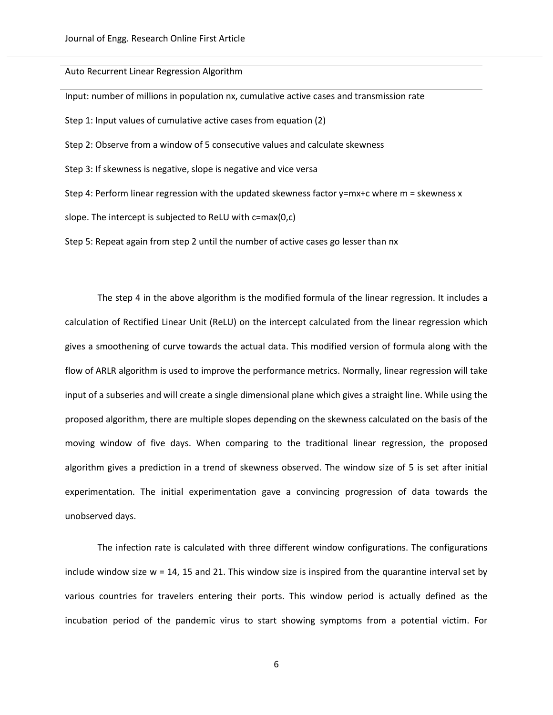# Auto Recurrent Linear Regression Algorithm

Input: number of millions in population nx, cumulative active cases and transmission rate Step 1: Input values of cumulative active cases from equation (2) Step 2: Observe from a window of 5 consecutive values and calculate skewness Step 3: If skewness is negative, slope is negative and vice versa Step 4: Perform linear regression with the updated skewness factor y=mx+c where m = skewness x slope. The intercept is subjected to ReLU with c=max(0,c) Step 5: Repeat again from step 2 until the number of active cases go lesser than nx

The step 4 in the above algorithm is the modified formula of the linear regression. It includes a calculation of Rectified Linear Unit (ReLU) on the intercept calculated from the linear regression which gives a smoothening of curve towards the actual data. This modified version of formula along with the flow of ARLR algorithm is used to improve the performance metrics. Normally, linear regression will take input of a subseries and will create a single dimensional plane which gives a straight line. While using the proposed algorithm, there are multiple slopes depending on the skewness calculated on the basis of the moving window of five days. When comparing to the traditional linear regression, the proposed algorithm gives a prediction in a trend of skewness observed. The window size of 5 is set after initial experimentation. The initial experimentation gave a convincing progression of data towards the unobserved days.

The infection rate is calculated with three different window configurations. The configurations include window size w = 14, 15 and 21. This window size is inspired from the quarantine interval set by various countries for travelers entering their ports. This window period is actually defined as the incubation period of the pandemic virus to start showing symptoms from a potential victim. For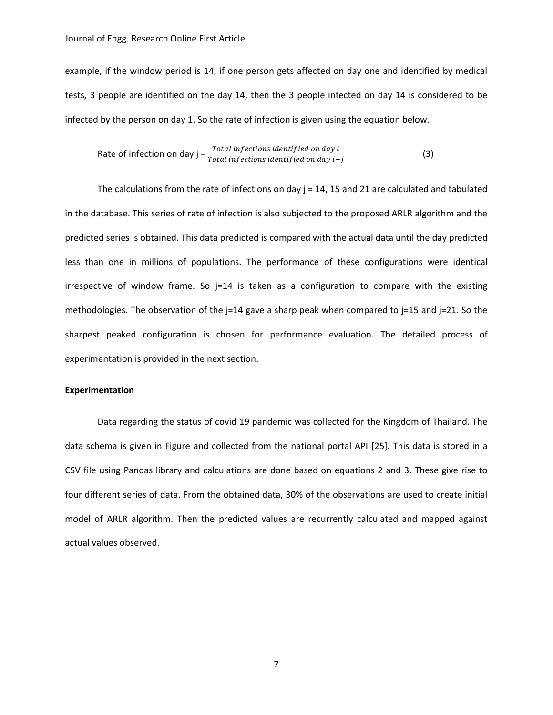example, if the window period is 14, if one person gets affected on day one and identified by medical tests, 3 people are identified on the day 14, then the 3 people infected on day 14 is considered to be infected by the person on day 1. So the rate of infection is given using the equation below.

Rate of infection on day j = 
$$
\frac{Total\ infections\ identified\ on\ day\ i}{Total\ infections\ identified\ on\ day\ i-j}
$$
 (3)

The calculations from the rate of infections on day  $j = 14$ , 15 and 21 are calculated and tabulated in the database. This series of rate of infection is also subjected to the proposed ARLR algorithm and the predicted series is obtained. This data predicted is compared with the actual data until the day predicted less than one in millions of populations. The performance of these configurations were identical irrespective of window frame. So  $j=14$  is taken as a configuration to compare with the existing methodologies. The observation of the j=14 gave a sharp peak when compared to j=15 and j=21. So the sharpest peaked configuration is chosen for performance evaluation. The detailed process of experimentation is provided in the next section.

# **Experimentation**

Data regarding the status of covid 19 pandemic was collected for the Kingdom of Thailand. The data schema is given in Figure and collected from the national portal API [25]. This data is stored in a CSV file using Pandas library and calculations are done based on equations 2 and 3. These give rise to four different series of data. From the obtained data, 30% of the observations are used to create initial model of ARLR algorithm. Then the predicted values are recurrently calculated and mapped against actual values observed.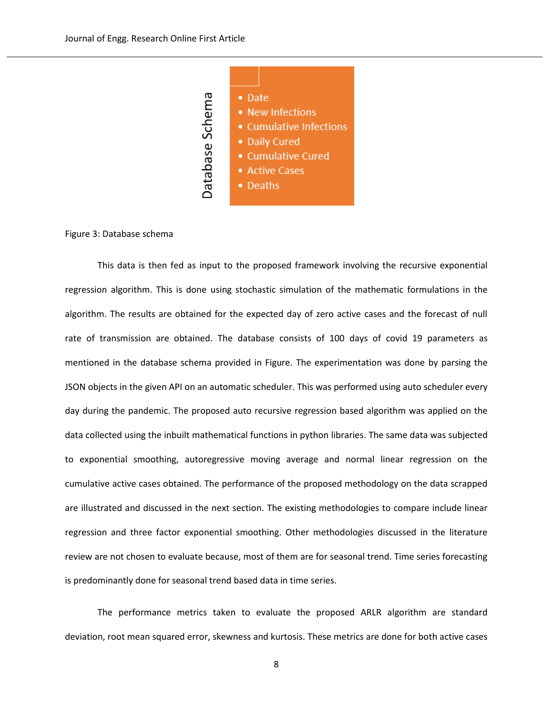

Figure 3: Database schema

This data is then fed as input to the proposed framework involving the recursive exponential regression algorithm. This is done using stochastic simulation of the mathematic formulations in the algorithm. The results are obtained for the expected day of zero active cases and the forecast of null rate of transmission are obtained. The database consists of 100 days of covid 19 parameters as mentioned in the database schema provided in Figure. The experimentation was done by parsing the JSON objects in the given API on an automatic scheduler. This was performed using auto scheduler every day during the pandemic. The proposed auto recursive regression based algorithm was applied on the data collected using the inbuilt mathematical functions in python libraries. The same data was subjected to exponential smoothing, autoregressive moving average and normal linear regression on the cumulative active cases obtained. The performance of the proposed methodology on the data scrapped are illustrated and discussed in the next section. The existing methodologies to compare include linear regression and three factor exponential smoothing. Other methodologies discussed in the literature review are not chosen to evaluate because, most of them are for seasonal trend. Time series forecasting is predominantly done for seasonal trend based data in time series.

The performance metrics taken to evaluate the proposed ARLR algorithm are standard deviation, root mean squared error, skewness and kurtosis. These metrics are done for both active cases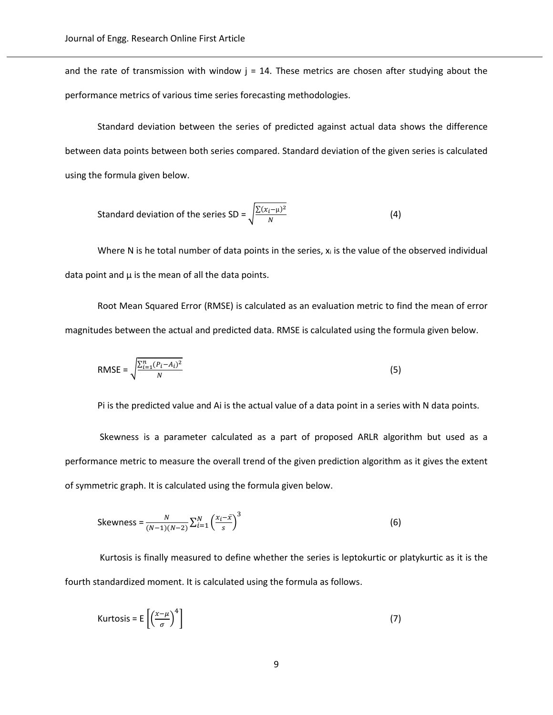and the rate of transmission with window  $j = 14$ . These metrics are chosen after studying about the performance metrics of various time series forecasting methodologies.

Standard deviation between the series of predicted against actual data shows the difference between data points between both series compared. Standard deviation of the given series is calculated using the formula given below.

Standard deviation of the series SD = 
$$
\sqrt{\frac{\sum (x_i - \mu)^2}{N}}
$$
 (4)

Where N is he total number of data points in the series,  $x_i$  is the value of the observed individual data point and  $\mu$  is the mean of all the data points.

Root Mean Squared Error (RMSE) is calculated as an evaluation metric to find the mean of error magnitudes between the actual and predicted data. RMSE is calculated using the formula given below.

$$
RMSE = \sqrt{\frac{\sum_{i=1}^{n} (P_i - A_i)^2}{N}}
$$
(5)

Pi is the predicted value and Ai is the actual value of a data point in a series with N data points.

Skewness is a parameter calculated as a part of proposed ARLR algorithm but used as a performance metric to measure the overall trend of the given prediction algorithm as it gives the extent of symmetric graph. It is calculated using the formula given below.

Skewness = 
$$
\frac{N}{(N-1)(N-2)} \sum_{i=1}^{N} \left(\frac{x_i - \bar{x}}{s}\right)^3
$$
 (6)

Kurtosis is finally measured to define whether the series is leptokurtic or platykurtic as it is the fourth standardized moment. It is calculated using the formula as follows.

Kurtosis = 
$$
E\left[\left(\frac{x-\mu}{\sigma}\right)^4\right]
$$
 (7)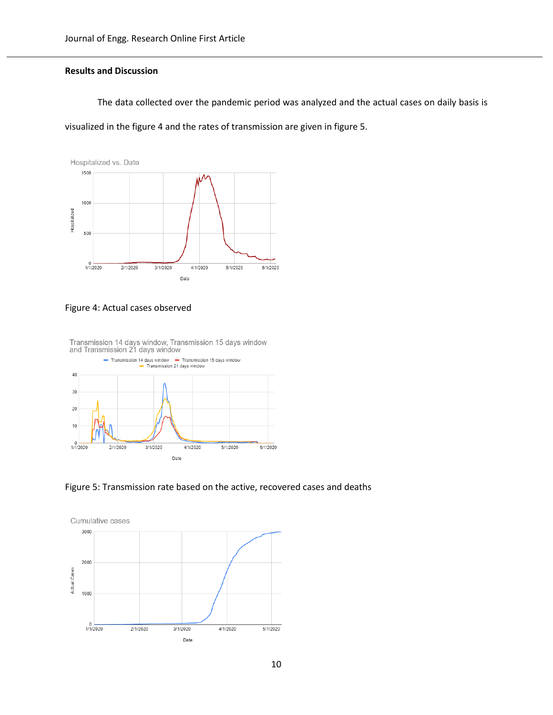# **Results and Discussion**

The data collected over the pandemic period was analyzed and the actual cases on daily basis is visualized in the figure 4 and the rates of transmission are given in figure 5.



Figure 4: Actual cases observed

Transmission 14 days window, Transmission 15 days window<br>and Transmission 21 days window



Figure 5: Transmission rate based on the active, recovered cases and deaths

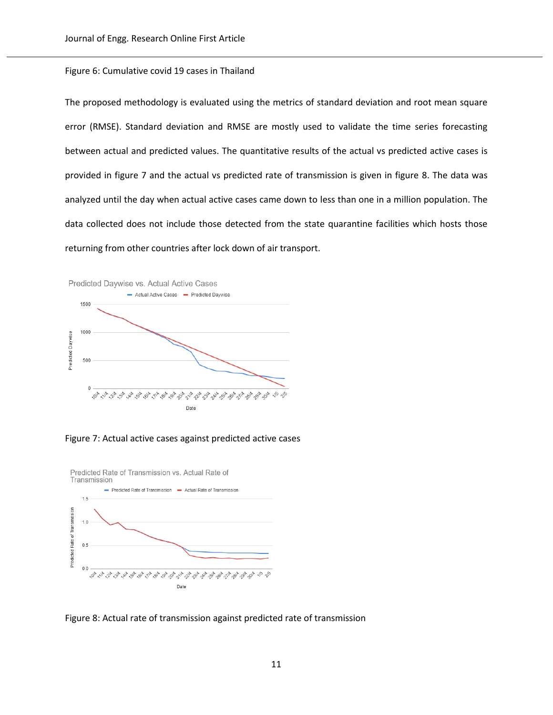# Figure 6: Cumulative covid 19 cases in Thailand

The proposed methodology is evaluated using the metrics of standard deviation and root mean square error (RMSE). Standard deviation and RMSE are mostly used to validate the time series forecasting between actual and predicted values. The quantitative results of the actual vs predicted active cases is provided in figure 7 and the actual vs predicted rate of transmission is given in figure 8. The data was analyzed until the day when actual active cases came down to less than one in a million population. The data collected does not include those detected from the state quarantine facilities which hosts those returning from other countries after lock down of air transport.



Figure 7: Actual active cases against predicted active cases



Figure 8: Actual rate of transmission against predicted rate of transmission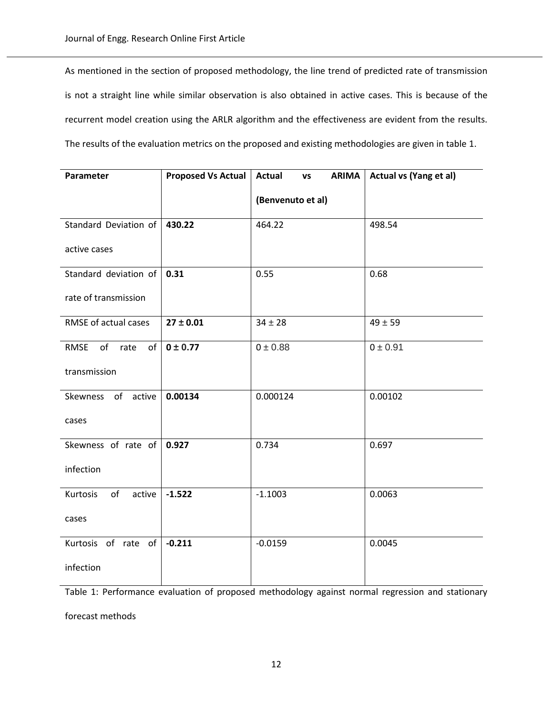As mentioned in the section of proposed methodology, the line trend of predicted rate of transmission is not a straight line while similar observation is also obtained in active cases. This is because of the recurrent model creation using the ARLR algorithm and the effectiveness are evident from the results. The results of the evaluation metrics on the proposed and existing methodologies are given in table 1.

| Parameter                | <b>Proposed Vs Actual</b> | <b>Actual</b><br><b>ARIMA</b><br>VS | <b>Actual vs (Yang et al)</b> |
|--------------------------|---------------------------|-------------------------------------|-------------------------------|
|                          |                           | (Benvenuto et al)                   |                               |
| Standard Deviation of    | 430.22                    | 464.22                              | 498.54                        |
| active cases             |                           |                                     |                               |
| Standard deviation of    | 0.31                      | 0.55                                | 0.68                          |
| rate of transmission     |                           |                                     |                               |
| RMSE of actual cases     | $27 \pm 0.01$             | $34 \pm 28$                         | $49 \pm 59$                   |
| RMSE<br>of<br>rate<br>of | $0 \pm 0.77$              | $0 \pm 0.88$                        | 0 ± 0.91                      |
| transmission             |                           |                                     |                               |
| Skewness of<br>active    | 0.00134                   | 0.000124                            | 0.00102                       |
| cases                    |                           |                                     |                               |
| Skewness of rate of      | 0.927                     | 0.734                               | 0.697                         |
| infection                |                           |                                     |                               |
| of<br>Kurtosis<br>active | $-1.522$                  | $-1.1003$                           | 0.0063                        |
| cases                    |                           |                                     |                               |
| Kurtosis of rate of      | $-0.211$                  | $-0.0159$                           | 0.0045                        |
| infection                |                           |                                     |                               |

Table 1: Performance evaluation of proposed methodology against normal regression and stationary forecast methods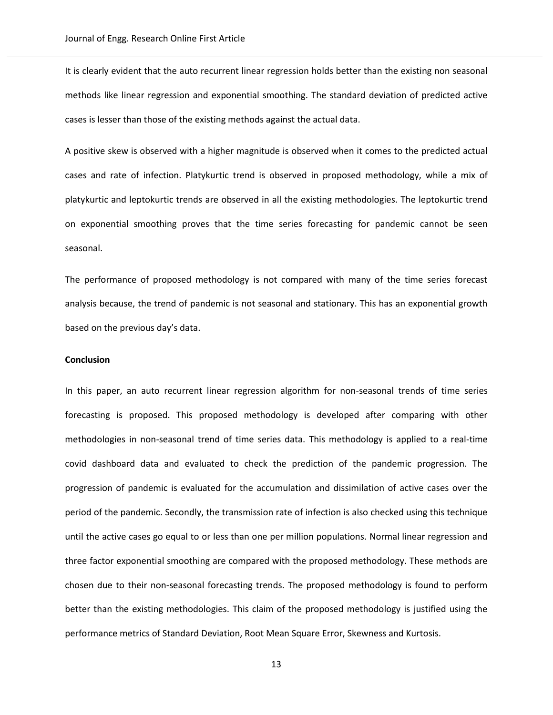It is clearly evident that the auto recurrent linear regression holds better than the existing non seasonal methods like linear regression and exponential smoothing. The standard deviation of predicted active cases is lesser than those of the existing methods against the actual data.

A positive skew is observed with a higher magnitude is observed when it comes to the predicted actual cases and rate of infection. Platykurtic trend is observed in proposed methodology, while a mix of platykurtic and leptokurtic trends are observed in all the existing methodologies. The leptokurtic trend on exponential smoothing proves that the time series forecasting for pandemic cannot be seen seasonal.

The performance of proposed methodology is not compared with many of the time series forecast analysis because, the trend of pandemic is not seasonal and stationary. This has an exponential growth based on the previous day's data.

#### **Conclusion**

In this paper, an auto recurrent linear regression algorithm for non-seasonal trends of time series forecasting is proposed. This proposed methodology is developed after comparing with other methodologies in non-seasonal trend of time series data. This methodology is applied to a real-time covid dashboard data and evaluated to check the prediction of the pandemic progression. The progression of pandemic is evaluated for the accumulation and dissimilation of active cases over the period of the pandemic. Secondly, the transmission rate of infection is also checked using this technique until the active cases go equal to or less than one per million populations. Normal linear regression and three factor exponential smoothing are compared with the proposed methodology. These methods are chosen due to their non-seasonal forecasting trends. The proposed methodology is found to perform better than the existing methodologies. This claim of the proposed methodology is justified using the performance metrics of Standard Deviation, Root Mean Square Error, Skewness and Kurtosis.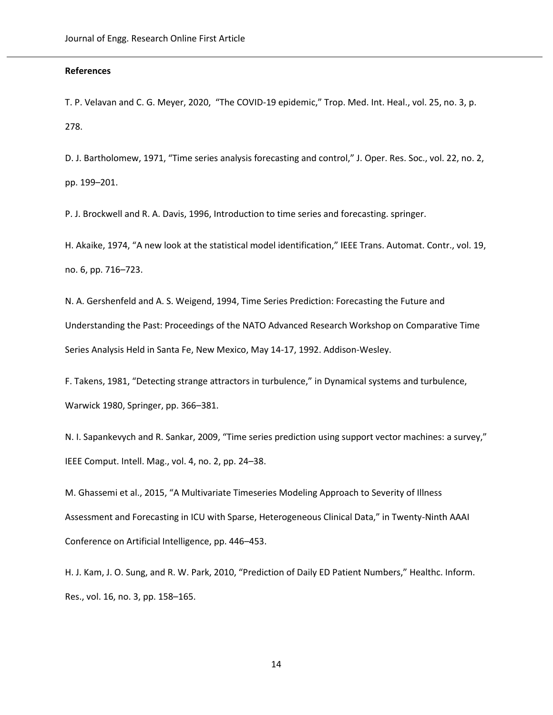#### **References**

T. P. Velavan and C. G. Meyer, 2020, "The COVID-19 epidemic," Trop. Med. Int. Heal., vol. 25, no. 3, p. 278.

D. J. Bartholomew, 1971, "Time series analysis forecasting and control," J. Oper. Res. Soc., vol. 22, no. 2, pp. 199–201.

P. J. Brockwell and R. A. Davis, 1996, Introduction to time series and forecasting. springer.

H. Akaike, 1974, "A new look at the statistical model identification," IEEE Trans. Automat. Contr., vol. 19, no. 6, pp. 716–723.

N. A. Gershenfeld and A. S. Weigend, 1994, Time Series Prediction: Forecasting the Future and Understanding the Past: Proceedings of the NATO Advanced Research Workshop on Comparative Time Series Analysis Held in Santa Fe, New Mexico, May 14-17, 1992. Addison-Wesley.

F. Takens, 1981, "Detecting strange attractors in turbulence," in Dynamical systems and turbulence, Warwick 1980, Springer, pp. 366–381.

N. I. Sapankevych and R. Sankar, 2009, "Time series prediction using support vector machines: a survey," IEEE Comput. Intell. Mag., vol. 4, no. 2, pp. 24–38.

M. Ghassemi et al., 2015, "A Multivariate Timeseries Modeling Approach to Severity of Illness Assessment and Forecasting in ICU with Sparse, Heterogeneous Clinical Data," in Twenty-Ninth AAAI Conference on Artificial Intelligence, pp. 446–453.

H. J. Kam, J. O. Sung, and R. W. Park, 2010, "Prediction of Daily ED Patient Numbers," Healthc. Inform. Res., vol. 16, no. 3, pp. 158–165.